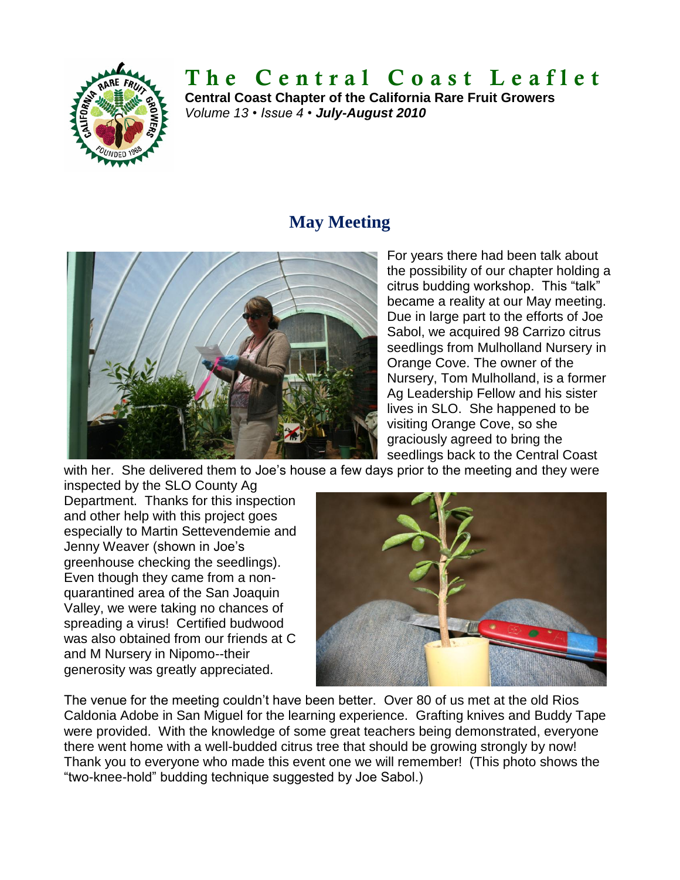

# **T h e C e n t r a l C o a s t L e a f l e t**

**Central Coast Chapter of the California Rare Fruit Growers** *Volume 13 • Issue 4 • July-August 2010*

## **May Meeting**



For years there had been talk about the possibility of our chapter holding a citrus budding workshop. This "talk" became a reality at our May meeting. Due in large part to the efforts of Joe Sabol, we acquired 98 Carrizo citrus seedlings from Mulholland Nursery in Orange Cove. The owner of the Nursery, Tom Mulholland, is a former Ag Leadership Fellow and his sister lives in SLO. She happened to be visiting Orange Cove, so she graciously agreed to bring the seedlings back to the Central Coast

with her. She delivered them to Joe's house a few days prior to the meeting and they were

inspected by the SLO County Ag Department. Thanks for this inspection and other help with this project goes especially to Martin Settevendemie and Jenny Weaver (shown in Joe's greenhouse checking the seedlings). Even though they came from a nonquarantined area of the San Joaquin Valley, we were taking no chances of spreading a virus! Certified budwood was also obtained from our friends at C and M Nursery in Nipomo--their generosity was greatly appreciated.



The venue for the meeting couldn't have been better. Over 80 of us met at the old Rios Caldonia Adobe in San Miguel for the learning experience. Grafting knives and Buddy Tape were provided. With the knowledge of some great teachers being demonstrated, everyone there went home with a well-budded citrus tree that should be growing strongly by now! Thank you to everyone who made this event one we will remember! (This photo shows the "two-knee-hold" budding technique suggested by Joe Sabol.)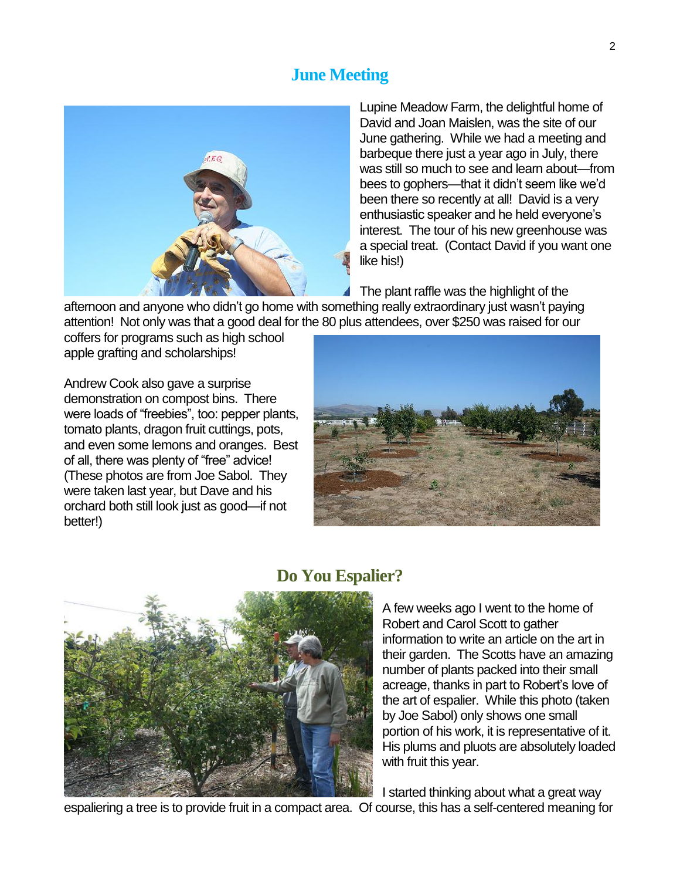## **June Meeting**



Lupine Meadow Farm, the delightful home of David and Joan Maislen, was the site of our June gathering. While we had a meeting and barbeque there just a year ago in July, there was still so much to see and learn about—from bees to gophers—that it didn't seem like we'd been there so recently at all! David is a very enthusiastic speaker and he held everyone's interest. The tour of his new greenhouse was a special treat. (Contact David if you want one like his!)

The plant raffle was the highlight of the

afternoon and anyone who didn't go home with something really extraordinary just wasn't paying attention! Not only was that a good deal for the 80 plus attendees, over \$250 was raised for our

coffers for programs such as high school apple grafting and scholarships!

Andrew Cook also gave a surprise demonstration on compost bins. There were loads of "freebies", too: pepper plants, tomato plants, dragon fruit cuttings, pots, and even some lemons and oranges. Best of all, there was plenty of "free" advice! (These photos are from Joe Sabol. They were taken last year, but Dave and his orchard both still look just as good—if not better!)





#### **Do You Espalier?**

A few weeks ago I went to the home of Robert and Carol Scott to gather information to write an article on the art in their garden. The Scotts have an amazing number of plants packed into their small acreage, thanks in part to Robert's love of the art of espalier. While this photo (taken by Joe Sabol) only shows one small portion of his work, it is representative of it. His plums and pluots are absolutely loaded with fruit this year.

I started thinking about what a great way

espaliering a tree is to provide fruit in a compact area. Of course, this has a self-centered meaning for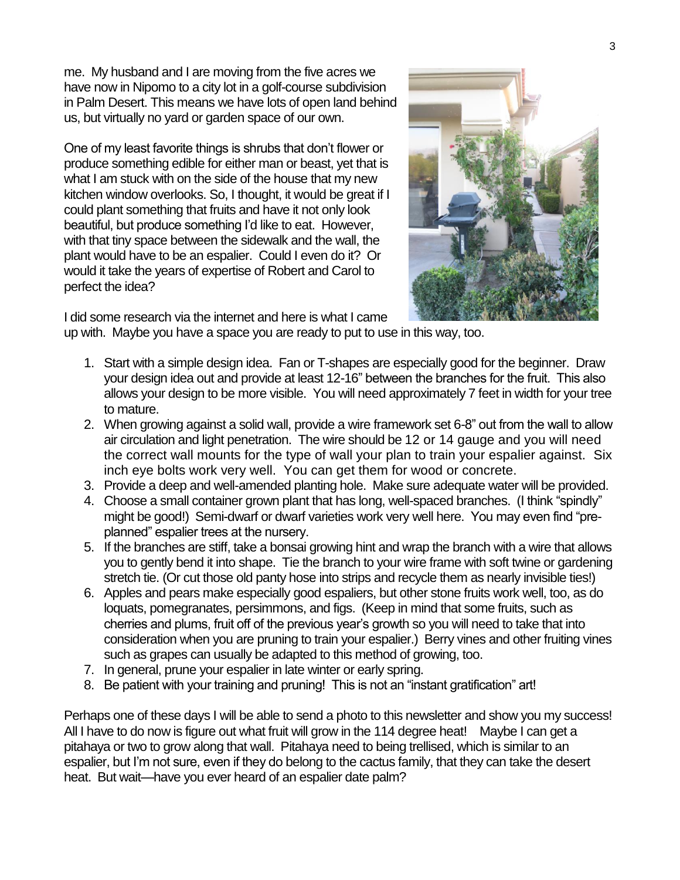me. My husband and I are moving from the five acres we have now in Nipomo to a city lot in a golf-course subdivision in Palm Desert. This means we have lots of open land behind us, but virtually no yard or garden space of our own.

One of my least favorite things is shrubs that don't flower or produce something edible for either man or beast, yet that is what I am stuck with on the side of the house that my new kitchen window overlooks. So, I thought, it would be great if I could plant something that fruits and have it not only look beautiful, but produce something I'd like to eat. However, with that tiny space between the sidewalk and the wall, the plant would have to be an espalier. Could I even do it? Or would it take the years of expertise of Robert and Carol to perfect the idea?



I did some research via the internet and here is what I came

up with. Maybe you have a space you are ready to put to use in this way, too.

- 1. Start with a simple design idea. Fan or T-shapes are especially good for the beginner. Draw your design idea out and provide at least 12-16" between the branches for the fruit. This also allows your design to be more visible. You will need approximately 7 feet in width for your tree to mature.
- 2. When growing against a solid wall, provide a wire framework set 6-8" out from the wall to allow air circulation and light penetration. The wire should be 12 or 14 gauge and you will need the correct wall mounts for the type of wall your plan to train your espalier against. Six inch eye bolts work very well. You can get them for wood or concrete.
- 3. Provide a deep and well-amended planting hole. Make sure adequate water will be provided.
- 4. Choose a small container grown plant that has long, well-spaced branches. (I think "spindly" might be good!) Semi-dwarf or dwarf varieties work very well here. You may even find "preplanned" espalier trees at the nursery.
- 5. If the branches are stiff, take a bonsai growing hint and wrap the branch with a wire that allows you to gently bend it into shape. Tie the branch to your wire frame with soft twine or gardening stretch tie. (Or cut those old panty hose into strips and recycle them as nearly invisible ties!)
- 6. Apples and pears make especially good espaliers, but other stone fruits work well, too, as do loquats, pomegranates, persimmons, and figs. (Keep in mind that some fruits, such as cherries and plums, fruit off of the previous year's growth so you will need to take that into consideration when you are pruning to train your espalier.) Berry vines and other fruiting vines such as grapes can usually be adapted to this method of growing, too.
- 7. In general, prune your espalier in late winter or early spring.
- 8. Be patient with your training and pruning! This is not an "instant gratification" art!

Perhaps one of these days I will be able to send a photo to this newsletter and show you my success! All I have to do now is figure out what fruit will grow in the 114 degree heat! Maybe I can get a pitahaya or two to grow along that wall. Pitahaya need to being trellised, which is similar to an espalier, but I'm not sure, even if they do belong to the cactus family, that they can take the desert heat. But wait—have you ever heard of an espalier date palm?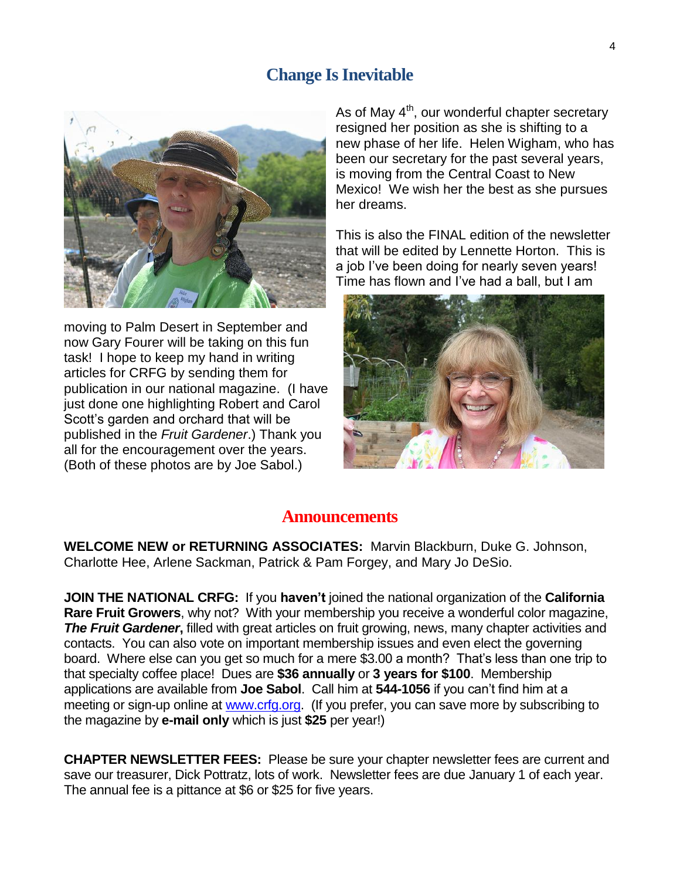### **Change Is Inevitable**



moving to Palm Desert in September and now Gary Fourer will be taking on this fun task! I hope to keep my hand in writing articles for CRFG by sending them for publication in our national magazine. (I have just done one highlighting Robert and Carol Scott's garden and orchard that will be published in the *Fruit Gardener*.) Thank you all for the encouragement over the years. (Both of these photos are by Joe Sabol.)

As of May  $4<sup>th</sup>$ , our wonderful chapter secretary resigned her position as she is shifting to a new phase of her life. Helen Wigham, who has been our secretary for the past several years, is moving from the Central Coast to New Mexico! We wish her the best as she pursues her dreams.

This is also the FINAL edition of the newsletter that will be edited by Lennette Horton. This is a job I've been doing for nearly seven years! Time has flown and I've had a ball, but I am



#### **Announcements**

**WELCOME NEW or RETURNING ASSOCIATES:** Marvin Blackburn, Duke G. Johnson, Charlotte Hee, Arlene Sackman, Patrick & Pam Forgey, and Mary Jo DeSio.

**JOIN THE NATIONAL CRFG:** If you **haven't** joined the national organization of the **California Rare Fruit Growers**, why not? With your membership you receive a wonderful color magazine, **The Fruit Gardener,** filled with great articles on fruit growing, news, many chapter activities and contacts. You can also vote on important membership issues and even elect the governing board. Where else can you get so much for a mere \$3.00 a month? That's less than one trip to that specialty coffee place! Dues are **\$36 annually** or **3 years for \$100**. Membership applications are available from **Joe Sabol**. Call him at **544-1056** if you can't find him at a meeting or sign-up online at [www.crfg.org.](http://www.crfg.org/) (If you prefer, you can save more by subscribing to the magazine by **e-mail only** which is just **\$25** per year!)

**CHAPTER NEWSLETTER FEES:** Please be sure your chapter newsletter fees are current and save our treasurer, Dick Pottratz, lots of work. Newsletter fees are due January 1 of each year. The annual fee is a pittance at \$6 or \$25 for five years.